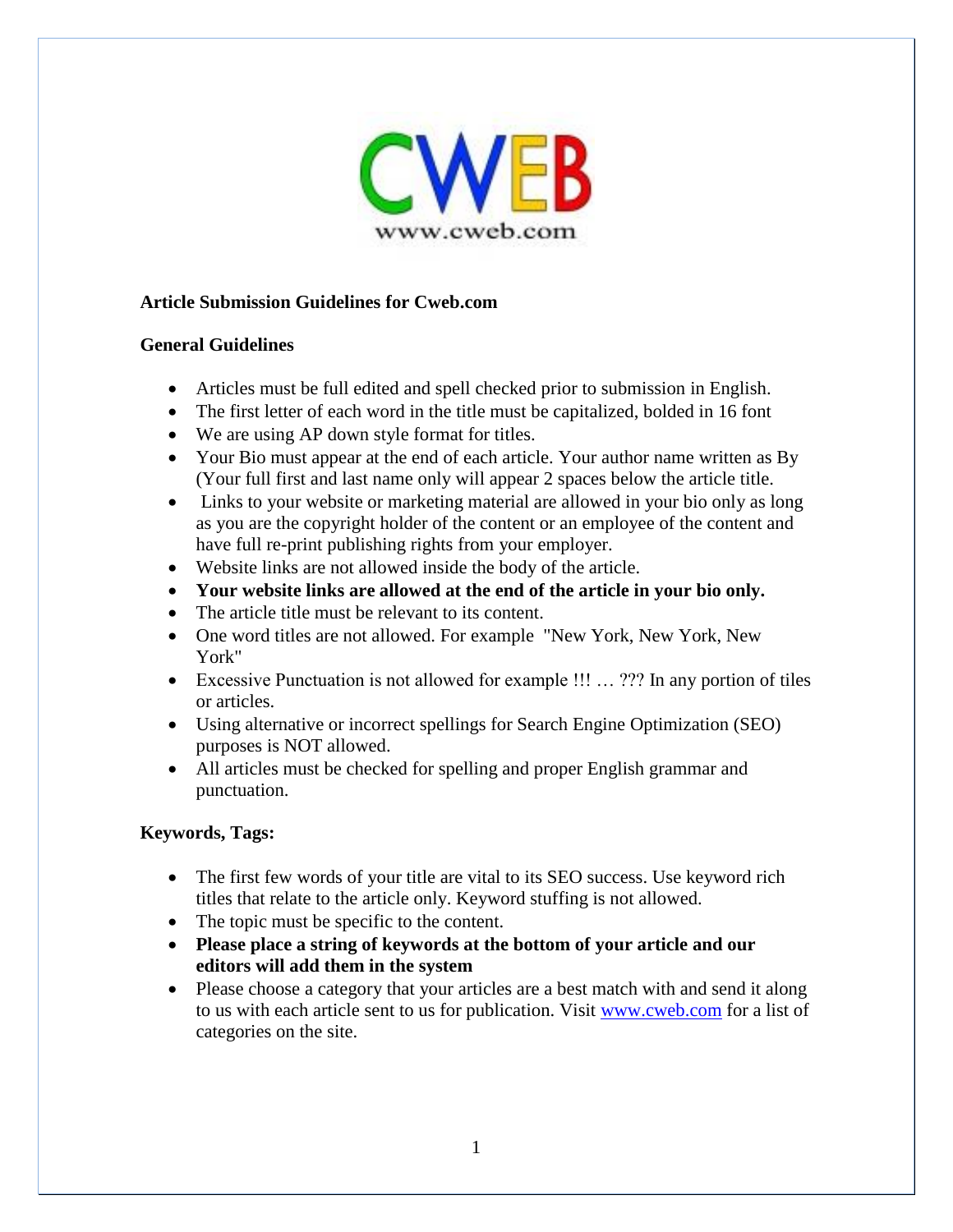

## **Article Submission Guidelines for Cweb.com**

#### **General Guidelines**

- Articles must be full edited and spell checked prior to submission in English.
- The first letter of each word in the title must be capitalized, bolded in 16 font
- We are using AP down style format for titles.
- Your Bio must appear at the end of each article. Your author name written as By (Your full first and last name only will appear 2 spaces below the article title.
- Links to your website or marketing material are allowed in your bio only as long as you are the copyright holder of the content or an employee of the content and have full re-print publishing rights from your employer.
- Website links are not allowed inside the body of the article.
- **Your website links are allowed at the end of the article in your bio only.**
- The article title must be relevant to its content.
- One word titles are not allowed. For example "New York, New York, New York"
- Excessive Punctuation is not allowed for example !!! … ??? In any portion of tiles or articles.
- Using alternative or incorrect spellings for Search Engine Optimization (SEO) purposes is NOT allowed.
- All articles must be checked for spelling and proper English grammar and punctuation.

# **Keywords, Tags:**

- The first few words of your title are vital to its SEO success. Use keyword rich titles that relate to the article only. Keyword stuffing is not allowed.
- The topic must be specific to the content.
- **Please place a string of keywords at the bottom of your article and our editors will add them in the system**
- Please choose a category that your articles are a best match with and send it along to us with each article sent to us for publication. Visit [www.cweb.com](http://www.cweb.com/) for a list of categories on the site.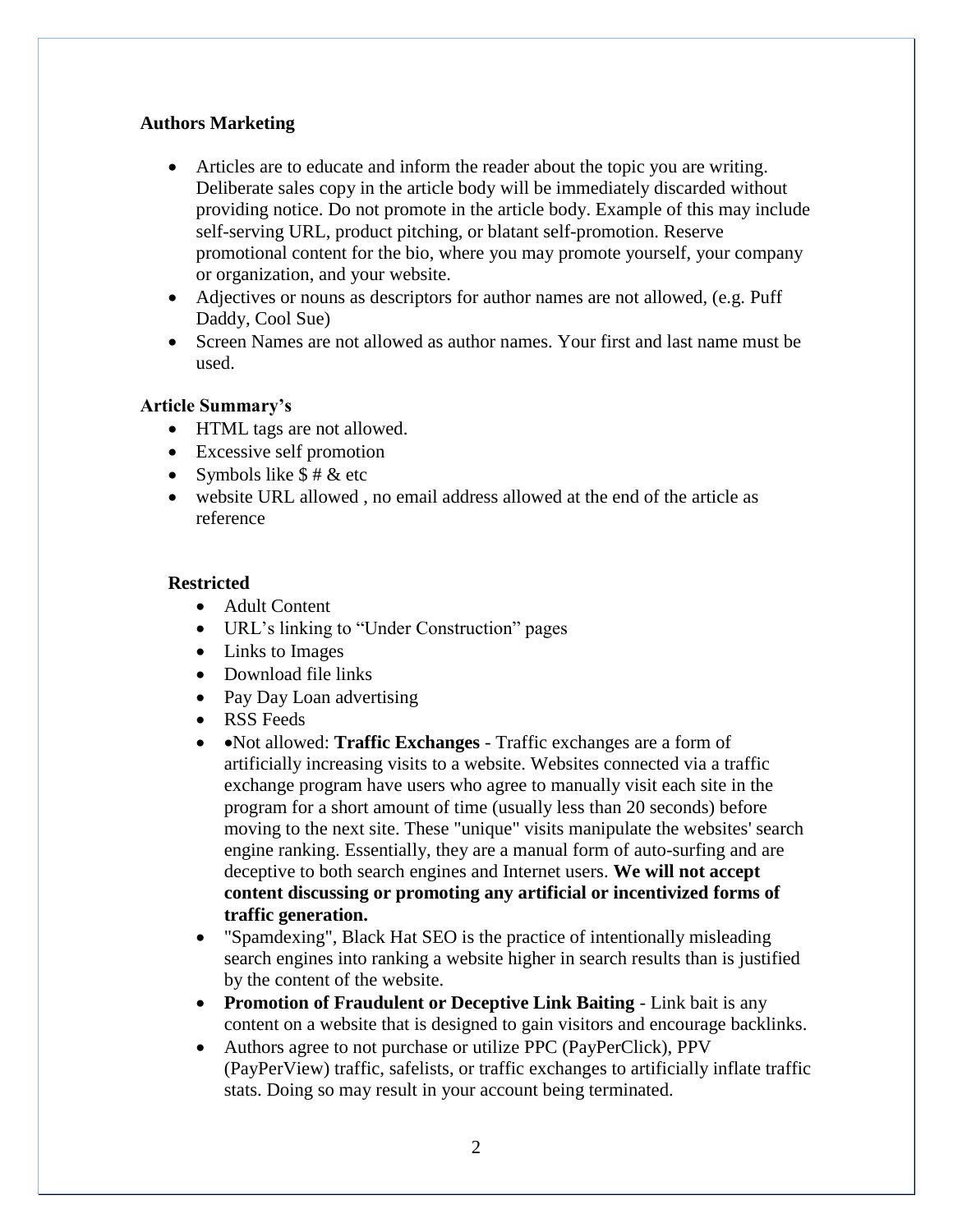## **Authors Marketing**

- Articles are to educate and inform the reader about the topic you are writing. Deliberate sales copy in the article body will be immediately discarded without providing notice. Do not promote in the article body. Example of this may include self-serving URL, product pitching, or blatant self-promotion. Reserve promotional content for the bio, where you may promote yourself, your company or organization, and your website.
- Adjectives or nouns as descriptors for author names are not allowed, (e.g. Puff Daddy, Cool Sue)
- Screen Names are not allowed as author names. Your first and last name must be used.

## **Article Summary's**

- HTML tags are not allowed.
- Excessive self promotion
- Symbols like  $$ # & etc$
- website URL allowed , no email address allowed at the end of the article as reference

## **Restricted**

- Adult Content
- URL's linking to "Under Construction" pages
- Links to Images
- Download file links
- Pay Day Loan advertising
- RSS Feeds
- • Not allowed: **Traffic Exchanges** Traffic exchanges are a form of artificially increasing visits to a website. Websites connected via a traffic exchange program have users who agree to manually visit each site in the program for a short amount of time (usually less than 20 seconds) before moving to the next site. These "unique" visits manipulate the websites' search engine ranking. Essentially, they are a manual form of auto-surfing and are deceptive to both search engines and Internet users. **We will not accept content discussing or promoting any artificial or incentivized forms of traffic generation.**
- "Spamdexing", Black Hat SEO is the practice of intentionally misleading search engines into ranking a website higher in search results than is justified by the content of the website.
- **Promotion of Fraudulent or Deceptive Link Baiting** Link bait is any content on a website that is designed to gain visitors and encourage backlinks.
- Authors agree to not purchase or utilize PPC (PayPerClick), PPV (PayPerView) traffic, safelists, or traffic exchanges to artificially inflate traffic stats. Doing so may result in your account being terminated.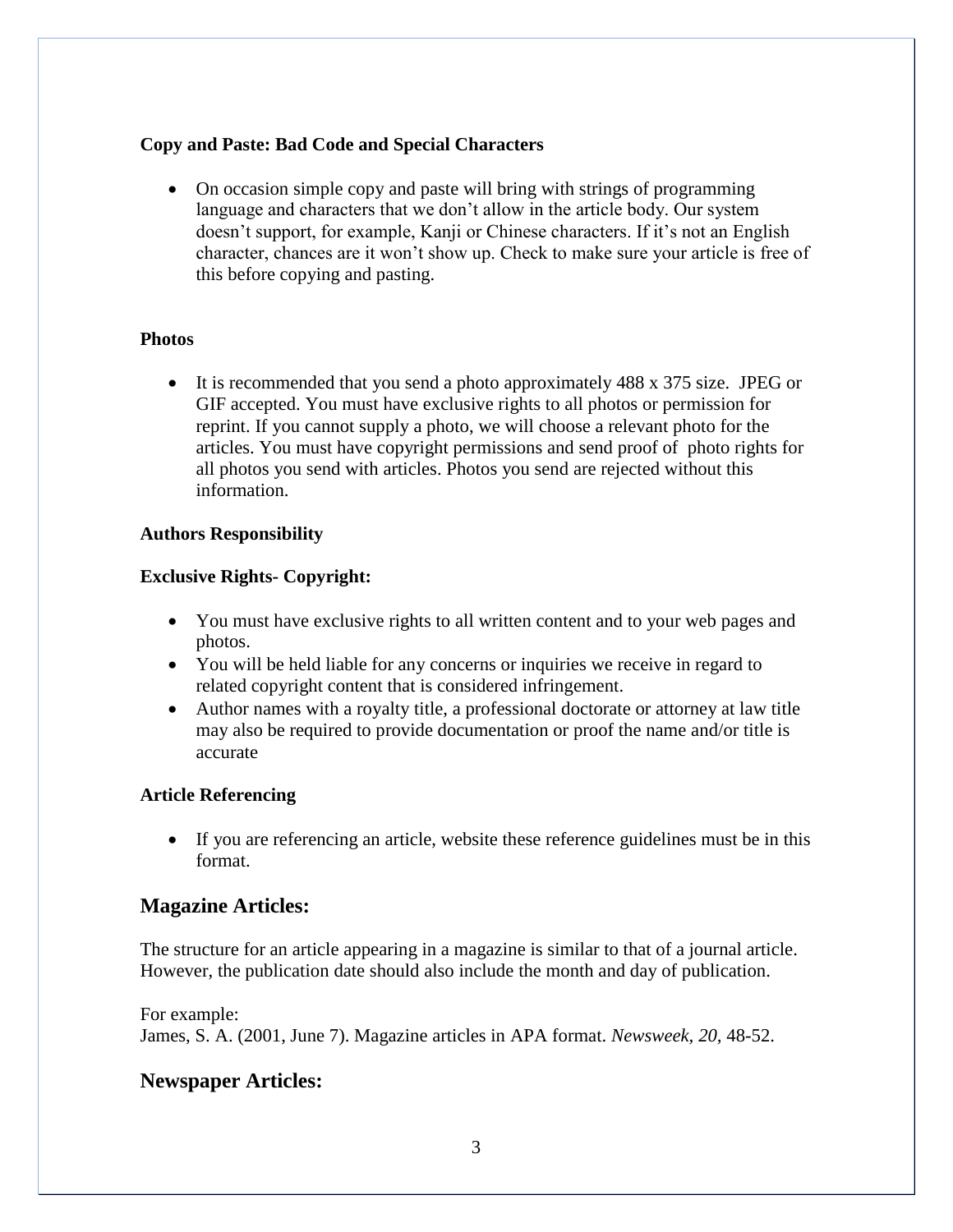## **Copy and Paste: Bad Code and Special Characters**

 On occasion simple copy and paste will bring with strings of programming language and characters that we don't allow in the article body. Our system doesn't support, for example, Kanji or Chinese characters. If it's not an English character, chances are it won't show up. Check to make sure your article is free of this before copying and pasting.

#### **Photos**

• It is recommended that you send a photo approximately 488 x 375 size. JPEG or GIF accepted. You must have exclusive rights to all photos or permission for reprint. If you cannot supply a photo, we will choose a relevant photo for the articles. You must have copyright permissions and send proof of photo rights for all photos you send with articles. Photos you send are rejected without this information.

## **Authors Responsibility**

## **Exclusive Rights- Copyright:**

- You must have exclusive rights to all written content and to your web pages and photos.
- You will be held liable for any concerns or inquiries we receive in regard to related copyright content that is considered infringement.
- Author names with a royalty title, a professional doctorate or attorney at law title may also be required to provide documentation or proof the name and/or title is accurate

#### **Article Referencing**

 If you are referencing an article, website these reference guidelines must be in this format.

# **Magazine Articles:**

The structure for an article appearing in a magazine is similar to that of a journal article. However, the publication date should also include the month and day of publication.

For example: James, S. A. (2001, June 7). Magazine articles in APA format. *Newsweek, 20,* 48-52.

# **Newspaper Articles:**